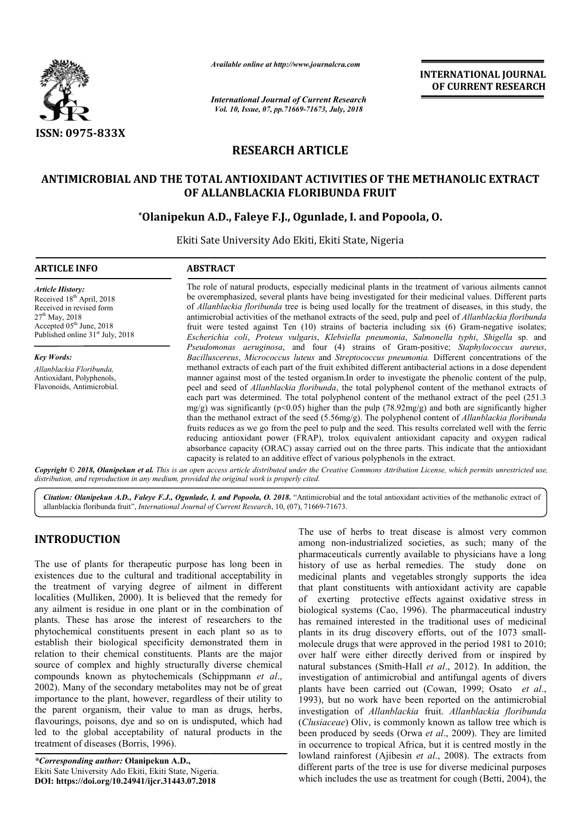

*Available online at http://www.journalcra.com*

*International Journal of Current Research Vol. 10, Issue, 07, pp.71669-71673, July, 2018*

**INTERNATIONAL JOURNAL OF CURRENT RESEARCH**

## **RESEARCH ARTICLE**

# ANTIMICROBIAL AND THE TOTAL ANTIOXIDANT ACTIVITIES OF THE METHANOLIC EXTRACT<br>OF ALLANBLACKIA FLORIBUNDA FRUIT<br>\*Olanipekun A.D., Faleye F.J., Ogunlade, I. and Popoola, O. **OF ALLANBLACKIA FLORIBUNDA FRUIT**

## **\*Olanipekun A.D Olanipekun A.D., Faleye F.J., Ogunlade, I. and Popoola**

Ekiti Sate University Ado Ekiti, Ekiti State, Nigeria

## **ARTICLE INFO ABSTRACT** The role of natural products, especially medicinal plants in the treatment of various ailments cannot

*Article History:* Received 18<sup>th</sup> April, 2018 Received in revised form  $27^{th}$  May, 2018 Accepted 05<sup>th</sup> June, 2018 Published online  $31<sup>st</sup>$  July, 2018

*Key Words: Allanblackia Floribunda,*  Antioxidant, Polyphenols, Flavonoids, Antimicrobial.

be overemphasized, several plants have being investigated for their me be being medicinal values. Different parts of *Allanblackia floribunda* tree is being used locally for the treatment of diseases, in this study, the of *Allanblackia floribunda* tree is being used locally for the treatment of diseases, in this study, the antimicrobial activities of the methanol extracts of the seed, pulp and peel of *Allanblackia floribunda* fruit were tested against Ten (10) strains of bacteria including six (6) Gram-negative isolates; *Escherichia coli* , *Proteus vulgaris*, *Klebsiella pneumonia*, *Salmonella typhi* , *Shigella* sp. and *Pseudomonas aeruginosa* , and four (4) strains of Gram--positive; *Staphylococcus aureus*, Bacilluscereus, Micrococcus luteus and *Streptococcus pneumonia*. Different concentrations of the methanol extracts of each part of the fruit exhibited different antibacterial actions in a dose dependent manner against most of the tested organism.In order to investigate the phenolic content of the pulp, peel and seed of *Allanblackia floribunda*, the total polyphenol content of the methanol extracts of each part was determined. The total polyphenol content of the methanol extract of the peel (251.3 mg/g) was significantly ( $p$ <0.05) higher than the pulp (78.92mg/g) and both are significantly higher than the methanol extract of the seed (5.56mg/g). The polyphenol content of *Allanblackia floribunda* fruits reduces as we go from the peel to pulp and the seed. This results correlated well with the ferric reducing antioxidant power (FRAP), trolox equivalent antioxidant capacity and oxygen radical absorbance capacity (ORAC) assay carried out on the three parts. This indicate that the antioxidant capacity is related to an additive effect of various polyphenols in the extract. methanol extracts of each part of the fruit exhibited different antibacterial actions in a dose dependent<br>manner against most of the tested organism.In order to investigate the phenolic content of the pulp,<br>peel and seed o fruits reduces as we go from the peel to pulp and the seed. This results correlated well with the ferric reducing antioxidant power (FRAP), trolox equivalent antioxidant capacity and oxygen radical absorbance capacity (ORA

Copyright © 2018, Olanipekun et al. This is an open access article distributed under the Creative Commons Attribution License, which permits unrestricted use, *distribution, and reproduction in any medium, provided the original work is properly cited.*

Citation: Olanipekun A.D., Faleye F.J., Ogunlade, I. and Popoola, O. 2018. "Antimicrobial and the total antioxidant activities of the methanolic extract of allanblackia floribunda fruit", *International Journal of Current Research* , 10, (07), 71669-71673.

## **INTRODUCTION**

The use of plants for therapeutic purpose has long been in existences due to the cultural and traditional acceptability in the treatment of varying degree of ailment in different localities (Mulliken, 2000). It is believed that the remedy for any ailment is residue in one plant or in the combination of plants. These has arose the interest of researchers to the phytochemical constituents present in each plant so as to establish their biological specificity demonstrated them in relation to their chemical constituents. Plants are the major source of complex and highly structurally diverse chemical compounds known as phytochemicals (Schippmann et al., 2002). Many of the secondary metabolites may not be of great importance to the plant, however, regardless of their utility to the parent organism, their value to man as drugs, herbs, flavourings, poisons, dye and so on is undisputed, which had led to the global acceptability of natural products in the treatment of diseases (Borris, 1996). It is believed that the remedy for<br>one plant or in the combination of<br>the interest of researchers to the<br>s present in each plant so as to<br>specificity demonstrated them in<br>constituents. Plants are the major<br>ighly structural Many of the secondary metabolites may<br>tance to the plant, however, regardless c<br>arent organism, their value to man a<br>urings, poisons, dye and so on is undisp<br>b the global acceptability of natural 1<br>nent of diseases (Borris

The use of herbs to treat disease is almost very common<br>myonse has long been imparmaceuticalizated societies, as such; many of the<br>pharmaceuticalizated societies. The study done on<br>diditional acceptability im medicinal pla among non-industrialized societies, as such; many of the pharmaceuticals currently available to physicians have a long history of use as herbal remedies. The study done on medicinal plants and vegetables strongly supports the idea that plant constituents with antioxidant activity are capable of exerting protective effects against oxidative stress in that plant constituents with antioxidant activity are capable<br>of exerting protective effects against oxidative stress in<br>biological systems (Cao, 1996). The pharmaceutical industry has remained interested in the traditional uses of medicinal has remained interested in the traditional uses of medicinal plants in its drug discovery efforts, out of the 1073 smallmolecule drugs that were approved in the period 1981 to 2010; molecule drugs that were approved in the period 1981 to 2010;<br>over half were either directly derived from or inspired by natural substances (Smith-Hall Hall *et al*., 2012). In addition, the investigation of antimicrobial and antifungal agents of divers investigation of antimicrobial and antifungal agents of divers plants have been carried out (Cowan, 1999; Osato *et al.*, 1993), but no work have been reported on the antimicrobial investigation of *Allanblackia* fruit. *Allanblackia floribunda* (*Clusiaceae*) Oliv, is commonly known as tallow tree which is (*Clusiaceae*) Oliv, is commonly known as tallow tree which is been produced by seeds (Orwa *et al.*, 2009). They are limited in occurrence to tropical Africa, but it is centred mostly in the in occurrence to tropical Africa, but it is centred mostly in the lowland rainforest (Ajibesin *et al.*, 2008). The extracts from different parts of the tree is use for diverse medicinal purposes different parts of the tree is use for diverse medicinal purposes which includes the use as treatment for cough (Betti, 2004), the The use of herbs to treat disease is almost very common among non-industrialized societies, as such; many of the pharmaceuticals currently available to physicians have a long history of use as herbal remedies. The study do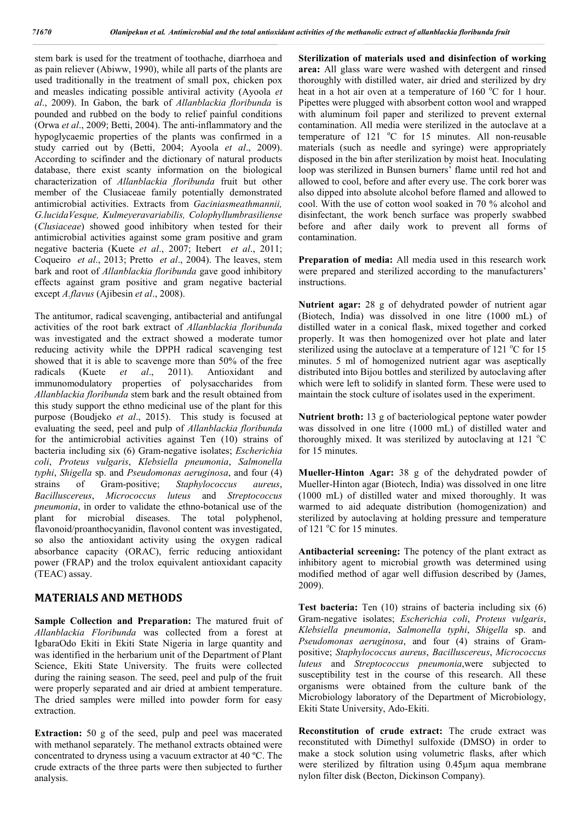stem bark is used for the treatment of toothache, diarrhoea and as pain reliever (Abiww, 1990), while all parts of the plants are used traditionally in the treatment of small pox, chicken pox and measles indicating possible antiviral activity (Ayoola *et al*., 2009). In Gabon, the bark of *Allanblackia floribunda* is pounded and rubbed on the body to relief painful conditions (Orwa *et al*., 2009; Betti, 2004). The anti-inflammatory and the hypoglycaemic properties of the plants was confirmed in a study carried out by (Betti, 2004; Ayoola *et al*., 2009). According to scifinder and the dictionary of natural products database, there exist scanty information on the biological characterization of *Allanblackia floribunda* fruit but other member of the Clusiaceae family potentially demonstrated antimicrobial activities. Extracts from *Gaciniasmeathmannii, G.lucidaVesque, Kulmeyeravariabilis, Colophyllumbrasiliense* (*Clusiaceae*) showed good inhibitory when tested for their antimicrobial activities against some gram positive and gram negative bacteria (Kuete *et al*., 2007; Itebert *et al*., 2011; Coqueiro *et al*., 2013; Pretto *et al*., 2004). The leaves, stem bark and root of *Allanblackia floribunda* gave good inhibitory effects against gram positive and gram negative bacterial except *A.flavus* (Ajibesin *et al*., 2008).

The antitumor, radical scavenging, antibacterial and antifungal activities of the root bark extract of *Allanblackia floribunda* was investigated and the extract showed a moderate tumor reducing activity while the DPPH radical scavenging test showed that it is able to scavenge more than 50% of the free radicals (Kuete *et al*., 2011). Antioxidant and immunomodulatory properties of polysaccharides from *Allanblackia floribunda* stem bark and the result obtained from this study support the ethno medicinal use of the plant for this purpose (Boudjeko *et al*., 2015). This study is focused at evaluating the seed, peel and pulp of *Allanblackia floribunda* for the antimicrobial activities against Ten (10) strains of bacteria including six (6) Gram-negative isolates; *Escherichia coli*, *Proteus vulgaris*, *Klebsiella pneumonia*, *Salmonella typhi*, *Shigella* sp. and *Pseudomonas aeruginosa*, and four (4) strains of Gram-positive; *Staphylococcus aureus*, *Bacilluscereus*, *Micrococcus luteus* and *Streptococcus pneumonia*, in order to validate the ethno-botanical use of the plant for microbial diseases. The total polyphenol, flavonoid/proanthocyanidin, flavonol content was investigated, so also the antioxidant activity using the oxygen radical absorbance capacity (ORAC), ferric reducing antioxidant power (FRAP) and the trolox equivalent antioxidant capacity (TEAC) assay.

### **MATERIALS AND METHODS**

**Sample Collection and Preparation:** The matured fruit of *Allanblackia Floribunda* was collected from a forest at IgbaraOdo Ekiti in Ekiti State Nigeria in large quantity and was identified in the herbarium unit of the Department of Plant Science, Ekiti State University. The fruits were collected during the raining season. The seed, peel and pulp of the fruit were properly separated and air dried at ambient temperature. The dried samples were milled into powder form for easy extraction.

**Extraction:** 50 g of the seed, pulp and peel was macerated with methanol separately. The methanol extracts obtained were concentrated to dryness using a vacuum extractor at 40 ºC. The crude extracts of the three parts were then subjected to further analysis.

**Sterilization of materials used and disinfection of working area:** All glass ware were washed with detergent and rinsed thoroughly with distilled water, air dried and sterilized by dry heat in a hot air oven at a temperature of 160 °C for 1 hour. Pipettes were plugged with absorbent cotton wool and wrapped with aluminum foil paper and sterilized to prevent external contamination. All media were sterilized in the autoclave at a temperature of  $121 \text{ °C}$  for 15 minutes. All non-reusable materials (such as needle and syringe) were appropriately disposed in the bin after sterilization by moist heat. Inoculating loop was sterilized in Bunsen burners' flame until red hot and allowed to cool, before and after every use. The cork borer was also dipped into absolute alcohol before flamed and allowed to cool. With the use of cotton wool soaked in 70 % alcohol and disinfectant, the work bench surface was properly swabbed before and after daily work to prevent all forms of contamination.

**Preparation of media:** All media used in this research work were prepared and sterilized according to the manufacturers' instructions.

**Nutrient agar:** 28 g of dehydrated powder of nutrient agar (Biotech, India) was dissolved in one litre (1000 mL) of distilled water in a conical flask, mixed together and corked properly. It was then homogenized over hot plate and later sterilized using the autoclave at a temperature of 121  $^{\circ}$ C for 15 minutes. 5 ml of homogenized nutrient agar was aseptically distributed into Bijou bottles and sterilized by autoclaving after which were left to solidify in slanted form. These were used to maintain the stock culture of isolates used in the experiment.

**Nutrient broth:** 13 g of bacteriological peptone water powder was dissolved in one litre (1000 mL) of distilled water and thoroughly mixed. It was sterilized by autoclaving at 121  $^{\circ}$ C for 15 minutes.

**Mueller-Hinton Agar:** 38 g of the dehydrated powder of Mueller-Hinton agar (Biotech, India) was dissolved in one litre (1000 mL) of distilled water and mixed thoroughly. It was warmed to aid adequate distribution (homogenization) and sterilized by autoclaving at holding pressure and temperature of 121 °C for 15 minutes.

**Antibacterial screening:** The potency of the plant extract as inhibitory agent to microbial growth was determined using modified method of agar well diffusion described by (James, 2009).

**Test bacteria:** Ten (10) strains of bacteria including six (6) Gram-negative isolates; *Escherichia coli*, *Proteus vulgaris*, *Klebsiella pneumonia*, *Salmonella typhi*, *Shigella* sp. and *Pseudomonas aeruginosa*, and four (4) strains of Grampositive; *Staphylococcus aureus*, *Bacilluscereus*, *Micrococcus luteus* and *Streptococcus pneumonia*,were subjected to susceptibility test in the course of this research. All these organisms were obtained from the culture bank of the Microbiology laboratory of the Department of Microbiology, Ekiti State University, Ado-Ekiti.

**Reconstitution of crude extract:** The crude extract was reconstituted with Dimethyl sulfoxide (DMSO) in order to make a stock solution using volumetric flasks, after which were sterilized by filtration using 0.45μm aqua membrane nylon filter disk (Becton, Dickinson Company).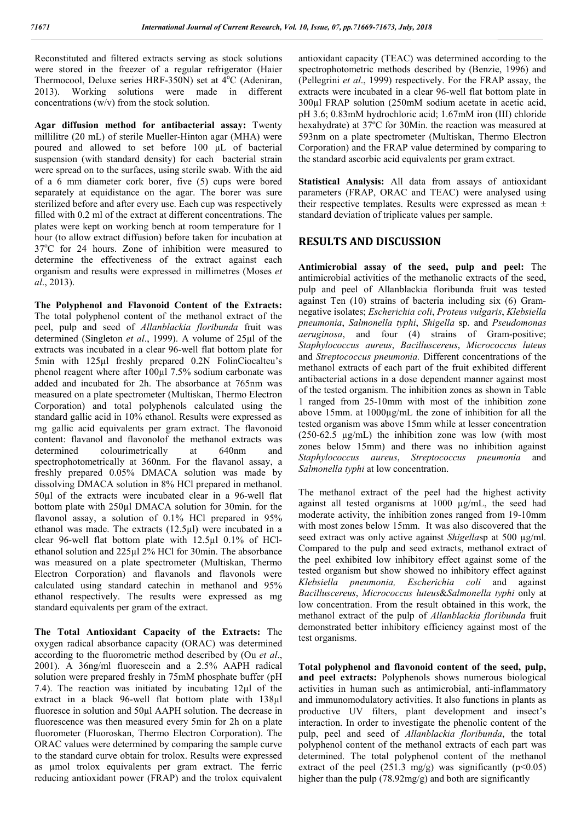Reconstituted and filtered extracts serving as stock solutions were stored in the freezer of a regular refrigerator (Haier Thermocool, Deluxe series HRF-350N) set at 4°C (Adeniran, 2013). Working solutions were made in different concentrations (w/v) from the stock solution.

**Agar diffusion method for antibacterial assay:** Twenty millilitre (20 mL) of sterile Mueller-Hinton agar (MHA) were poured and allowed to set before 100 μL of bacterial suspension (with standard density) for each bacterial strain were spread on to the surfaces, using sterile swab. With the aid of a 6 mm diameter cork borer, five (5) cups were bored separately at equidistance on the agar. The borer was sure sterilized before and after every use. Each cup was respectively filled with 0.2 ml of the extract at different concentrations. The plates were kept on working bench at room temperature for 1 hour (to allow extract diffusion) before taken for incubation at 37°C for 24 hours. Zone of inhibition were measured to determine the effectiveness of the extract against each organism and results were expressed in millimetres (Moses *et al*., 2013).

**The Polyphenol and Flavonoid Content of the Extracts:**  The total polyphenol content of the methanol extract of the peel, pulp and seed of *Allanblackia floribunda* fruit was determined (Singleton *et al*., 1999). A volume of 25µl of the extracts was incubated in a clear 96-well flat bottom plate for 5min with 125µl freshly prepared 0.2N FolinCiocalteu's phenol reagent where after 100µl 7.5% sodium carbonate was added and incubated for 2h. The absorbance at 765nm was measured on a plate spectrometer (Multiskan, Thermo Electron Corporation) and total polyphenols calculated using the standard gallic acid in 10% ethanol. Results were expressed as mg gallic acid equivalents per gram extract. The flavonoid content: flavanol and flavonolof the methanol extracts was determined colourimetrically at 640nm and spectrophotometrically at 360nm. For the flavanol assay, a freshly prepared 0.05% DMACA solution was made by dissolving DMACA solution in 8% HCl prepared in methanol. 50µl of the extracts were incubated clear in a 96-well flat bottom plate with 250µl DMACA solution for 30min. for the flavonol assay, a solution of 0.1% HCl prepared in 95% ethanol was made. The extracts (12.5µl) were incubated in a clear 96-well flat bottom plate with 12.5µl 0.1% of HClethanol solution and 225µl 2% HCl for 30min. The absorbance was measured on a plate spectrometer (Multiskan, Thermo Electron Corporation) and flavanols and flavonols were calculated using standard catechin in methanol and 95% ethanol respectively. The results were expressed as mg standard equivalents per gram of the extract.

**The Total Antioxidant Capacity of the Extracts:** The oxygen radical absorbance capacity (ORAC) was determined according to the fluorometric method described by (Ou *et al*., 2001). A 36ng/ml fluorescein and a 2.5% AAPH radical solution were prepared freshly in 75mM phosphate buffer (pH 7.4). The reaction was initiated by incubating 12µl of the extract in a black 96-well flat bottom plate with 138µl fluoresce in solution and 50µl AAPH solution. The decrease in fluorescence was then measured every 5min for 2h on a plate fluorometer (Fluoroskan, Thermo Electron Corporation). The ORAC values were determined by comparing the sample curve to the standard curve obtain for trolox. Results were expressed as µmol trolox equivalents per gram extract. The ferric reducing antioxidant power (FRAP) and the trolox equivalent

antioxidant capacity (TEAC) was determined according to the spectrophotometric methods described by (Benzie, 1996) and (Pellegrini *et al*., 1999) respectively. For the FRAP assay, the extracts were incubated in a clear 96-well flat bottom plate in 300µl FRAP solution (250mM sodium acetate in acetic acid, pH 3.6; 0.83mM hydrochloric acid; 1.67mM iron (III) chloride hexahydrate) at 37ºC for 30Min. the reaction was measured at 593nm on a plate spectrometer (Multiskan, Thermo Electron Corporation) and the FRAP value determined by comparing to the standard ascorbic acid equivalents per gram extract.

**Statistical Analysis:** All data from assays of antioxidant parameters (FRAP, ORAC and TEAC) were analysed using their respective templates. Results were expressed as mean ± standard deviation of triplicate values per sample.

### **RESULTS AND DISCUSSION**

**Antimicrobial assay of the seed, pulp and peel:** The antimicrobial activities of the methanolic extracts of the seed, pulp and peel of Allanblackia floribunda fruit was tested against Ten (10) strains of bacteria including six (6) Gramnegative isolates; *Escherichia coli*, *Proteus vulgaris*, *Klebsiella pneumonia*, *Salmonella typhi*, *Shigella* sp. and *Pseudomonas aeruginosa*, and four (4) strains of Gram-positive; *Staphylococcus aureus*, *Bacilluscereus*, *Micrococcus luteus* and *Streptococcus pneumonia.* Different concentrations of the methanol extracts of each part of the fruit exhibited different antibacterial actions in a dose dependent manner against most of the tested organism. The inhibition zones as shown in Table 1 ranged from 25-10mm with most of the inhibition zone above 15mm. at 1000µg/mL the zone of inhibition for all the tested organism was above 15mm while at lesser concentration (250-62.5 µg/mL) the inhibition zone was low (with most zones below 15mm) and there was no inhibition against *Staphylococcus aureus*, *Streptococcus pneumonia* and *Salmonella typhi* at low concentration.

The methanol extract of the peel had the highest activity against all tested organisms at 1000 µg/mL, the seed had moderate activity, the inhibition zones ranged from 19-10mm with most zones below 15mm. It was also discovered that the seed extract was only active against *Shigella*sp at 500 µg/ml. Compared to the pulp and seed extracts, methanol extract of the peel exhibited low inhibitory effect against some of the tested organism but show showed no inhibitory effect against *Klebsiella pneumonia, Escherichia coli* and against *Bacilluscereus*, *Micrococcus luteus*&*Salmonella typhi* only at low concentration. From the result obtained in this work, the methanol extract of the pulp of *Allanblackia floribunda* fruit demonstrated better inhibitory efficiency against most of the test organisms.

**Total polyphenol and flavonoid content of the seed, pulp, and peel extracts:** Polyphenols shows numerous biological activities in human such as antimicrobial, anti-inflammatory and immunomodulatory activities. It also functions in plants as productive UV filters, plant development and insect's interaction. In order to investigate the phenolic content of the pulp, peel and seed of *Allanblackia floribunda*, the total polyphenol content of the methanol extracts of each part was determined. The total polyphenol content of the methanol extract of the peel  $(251.3 \text{ mg/g})$  was significantly  $(p<0.05)$ higher than the pulp (78.92mg/g) and both are significantly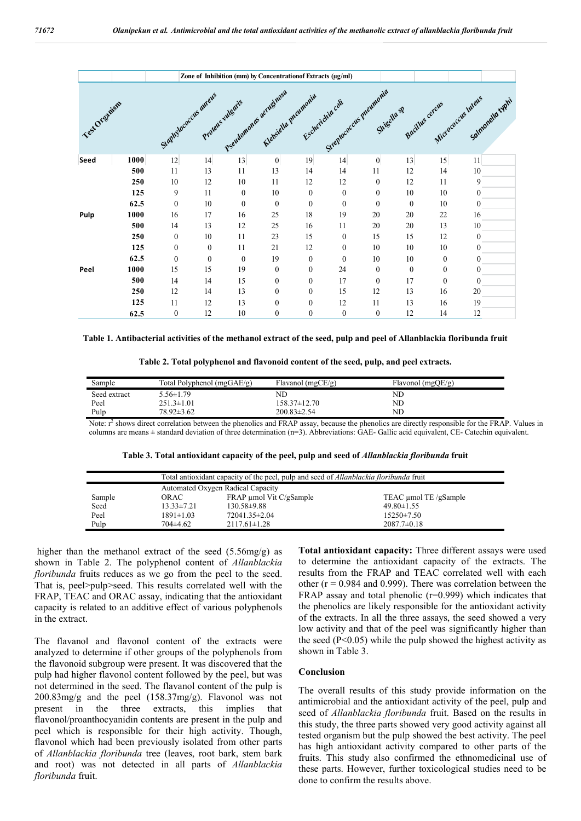|               |      | Zone of Inhibition (mm) by Concentrationof Extracts (µg/ml) |                   |                  |                                               |                  |                        |                  |              |                  |                                                      |  |
|---------------|------|-------------------------------------------------------------|-------------------|------------------|-----------------------------------------------|------------------|------------------------|------------------|--------------|------------------|------------------------------------------------------|--|
| Test Organism |      | Stamplecaccus aureus                                        | Protects villagis |                  | Pseudomonas aerughasa<br>Klabsiellu preumonia |                  | Streptocacas preumonia | Shigella SP      |              |                  | Bactlus cereus Micrococos inters<br>Salmonella cyphi |  |
| Seed          | 1000 | $12 \overline{)}$                                           | 14                | 13               | $\boldsymbol{0}$                              | 19               | 14                     | $\boldsymbol{0}$ | 13           | 15               | 11                                                   |  |
|               | 500  | 11                                                          | 13                | 11               | 13                                            | 14               | 14                     | 11               | 12           | 14               | 10                                                   |  |
|               | 250  | 10                                                          | 12                | 10               | 11                                            | 12               | 12                     | $\mathbf{0}$     | 12           | 11               | 9                                                    |  |
|               | 125  | 9                                                           | 11                | $\boldsymbol{0}$ | 10                                            | $\mathbf{0}$     | $\mathbf{0}$           | $\mathbf{0}$     | 10           | 10               | $\mathbf{0}$                                         |  |
|               | 62.5 | $\mathbf{0}$                                                | 10                | $\boldsymbol{0}$ | $\mathbf{0}$                                  | $\mathbf{0}$     | $\mathbf{0}$           | $\mathbf{0}$     | $\mathbf{0}$ | 10               | $\theta$                                             |  |
| Pulp          | 1000 | 16                                                          | 17                | 16               | 25                                            | 18               | 19                     | 20               | 20           | 22               | 16                                                   |  |
|               | 500  | 14                                                          | 13                | 12               | 25                                            | 16               | 11                     | 20               | 20           | 13               | 10                                                   |  |
|               | 250  | $\mathbf{0}$                                                | 10                | 11               | 23                                            | 15               | $\mathbf{0}$           | 15               | 15           | 12               | $\theta$                                             |  |
|               | 125  | $\mathbf{0}$                                                | $\mathbf{0}$      | 11               | 21                                            | 12               | $\mathbf{0}$           | 10               | 10           | 10               | $\theta$                                             |  |
|               | 62.5 | $\mathbf{0}$                                                | $\mathbf{0}$      | $\boldsymbol{0}$ | 19                                            | $\mathbf{0}$     | $\mathbf{0}$           | 10               | 10           | $\mathbf{0}$     | $\theta$                                             |  |
| Peel          | 1000 | 15                                                          | 15                | 19               | $\boldsymbol{0}$                              | $\boldsymbol{0}$ | 24                     | $\mathbf{0}$     | $\mathbf{0}$ | $\boldsymbol{0}$ | $\theta$                                             |  |
|               | 500  | 14                                                          | 14                | 15               | $\mathbf{0}$                                  | $\mathbf{0}$     | 17                     | $\mathbf{0}$     | 17           | $\theta$         | $\Omega$                                             |  |
|               | 250  | 12                                                          | 14                | 13               | $\boldsymbol{0}$                              | $\mathbf{0}$     | 15                     | 12               | 13           | 16               | 20                                                   |  |
|               | 125  | 11                                                          | 12                | 13               | $\mathbf{0}$                                  | $\mathbf{0}$     | 12                     | 11               | 13           | 16               | 19                                                   |  |
|               | 62.5 | $\boldsymbol{0}$                                            | 12                | 10               | $\overline{0}$                                | $\theta$         | $\mathbf{0}$           | $\mathbf{0}$     | 12           | 14               | 12                                                   |  |

**Table 1. Antibacterial activities of the methanol extract of the seed, pulp and peel of Allanblackia floribunda fruit**

| Table 2. Total polyphenol and flavonoid content of the seed, pulp, and peel extracts. |  |  |  |
|---------------------------------------------------------------------------------------|--|--|--|
|                                                                                       |  |  |  |

| $5.56 \pm 1.79$<br>ND<br>ND<br>Seed extract<br>Peel<br>$251.3 \pm 1.01$<br>ND<br>$158.37\pm12.70$ | Sample | Total Polyphenol $(mgGAE/g)$ | Flavanol (mgCE/g) | Flavonol (mgQE/g) |
|---------------------------------------------------------------------------------------------------|--------|------------------------------|-------------------|-------------------|
|                                                                                                   |        |                              |                   |                   |
|                                                                                                   |        |                              |                   |                   |
|                                                                                                   | Pulp   | $78.92 \pm 3.62$             | $200.83 \pm 2.54$ | ND                |

Note:  $r^2$  shows direct correlation between the phenolics and FRAP assay, because the phenolics are directly responsible for the FRAP. Values in columns are means ± standard deviation of three determination (n=3). Abbreviations: GAE- Gallic acid equivalent, CE- Catechin equivalent.

|  |  |  | Table 3. Total antioxidant capacity of the peel, pulp and seed of <i>Allanblackia floribunda</i> fruit |
|--|--|--|--------------------------------------------------------------------------------------------------------|
|  |  |  |                                                                                                        |

|        | Total antioxidant capacity of the peel, pulp and seed of <i>Allanblackia floribunda</i> fruit |                                |                       |  |  |  |
|--------|-----------------------------------------------------------------------------------------------|--------------------------------|-----------------------|--|--|--|
|        | Automated Oxygen Radical Capacity                                                             |                                |                       |  |  |  |
| Sample | OR AC-                                                                                        | $FRAP \mu mol$ Vit $C/gSample$ | TEAC umol TE /gSample |  |  |  |
| Seed   | $13.33 \pm 7.21$                                                                              | $130.58 \pm 9.88$              | $49.80 \pm 1.55$      |  |  |  |
| Peel   | $1891 \pm 1.03$                                                                               | $72041.35\pm2.04$              | $15250 \pm 7.50$      |  |  |  |
| Pulp   | 704±4.62                                                                                      | $2117.61 \pm 1.28$             | $2087.7 \pm 0.18$     |  |  |  |

higher than the methanol extract of the seed (5.56mg/g) as shown in Table 2. The polyphenol content of *Allanblackia floribunda* fruits reduces as we go from the peel to the seed. That is, peel>pulp>seed. This results correlated well with the FRAP, TEAC and ORAC assay, indicating that the antioxidant capacity is related to an additive effect of various polyphenols in the extract.

The flavanol and flavonol content of the extracts were analyzed to determine if other groups of the polyphenols from the flavonoid subgroup were present. It was discovered that the pulp had higher flavonol content followed by the peel, but was not determined in the seed. The flavanol content of the pulp is 200.83mg/g and the peel (158.37mg/g). Flavonol was not present in the three extracts, this implies that flavonol/proanthocyanidin contents are present in the pulp and peel which is responsible for their high activity. Though, flavonol which had been previously isolated from other parts of *Allanblackia floribunda* tree (leaves, root bark, stem bark and root) was not detected in all parts of *Allanblackia floribunda* fruit.

**Total antioxidant capacity:** Three different assays were used to determine the antioxidant capacity of the extracts. The results from the FRAP and TEAC correlated well with each other ( $r = 0.984$  and 0.999). There was correlation between the FRAP assay and total phenolic (r=0.999) which indicates that the phenolics are likely responsible for the antioxidant activity of the extracts. In all the three assays, the seed showed a very low activity and that of the peel was significantly higher than the seed  $(P<0.05)$  while the pulp showed the highest activity as shown in Table 3.

#### **Conclusion**

The overall results of this study provide information on the antimicrobial and the antioxidant activity of the peel, pulp and seed of *Allanblackia floribunda* fruit. Based on the results in this study, the three parts showed very good activity against all tested organism but the pulp showed the best activity. The peel has high antioxidant activity compared to other parts of the fruits. This study also confirmed the ethnomedicinal use of these parts. However, further toxicological studies need to be done to confirm the results above.